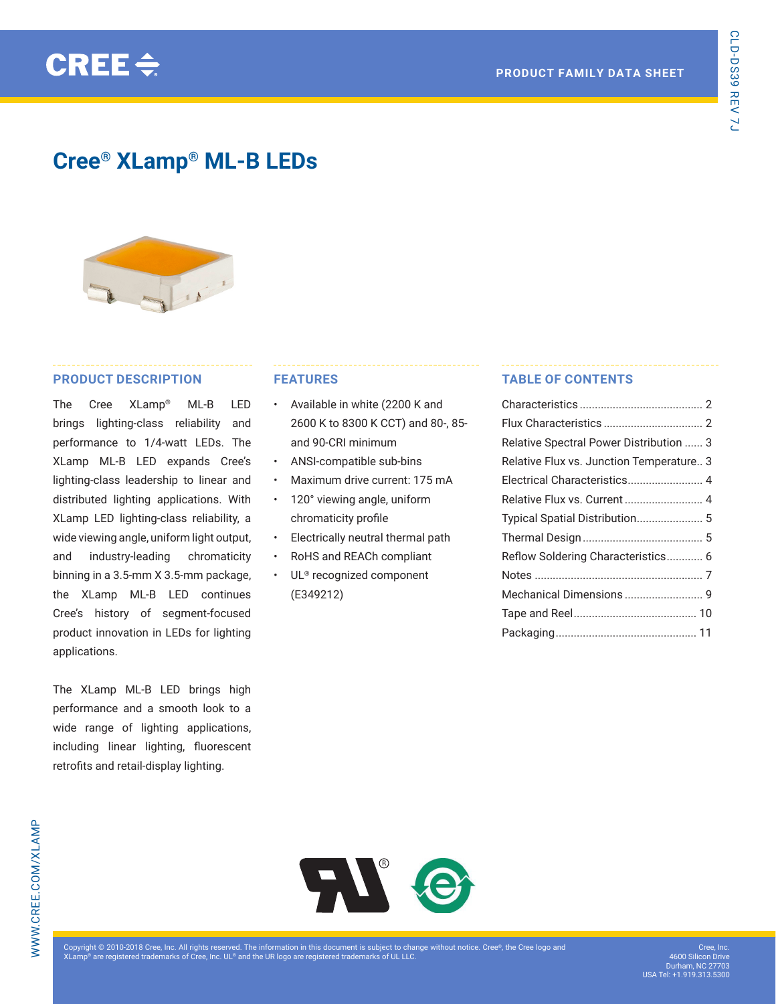# **Cree® XLamp® ML-B LEDs**



## **PRODUCT DESCRIPTION**

The Cree XLamp® ML-B LED brings lighting-class reliability and performance to 1/4-watt LEDs. The XLamp ML-B LED expands Cree's lighting-class leadership to linear and distributed lighting applications. With XLamp LED lighting-class reliability, a wide viewing angle, uniform light output, and industry-leading chromaticity binning in a 3.5-mm X 3.5-mm package, the XLamp ML-B LED continues Cree's history of segment-focused product innovation in LEDs for lighting applications.

The XLamp ML-B LED brings high performance and a smooth look to a wide range of lighting applications, including linear lighting, fluorescent retrofits and retail-display lighting.

# **FEATURES**

- Available in white (2200 K and 2600 K to 8300 K CCT) and 80-, 85 and 90-CRI minimum
- ANSI-compatible sub-bins
- Maximum drive current: 175 mA
- 120° viewing angle, uniform chromaticity profile
- Electrically neutral thermal path
- RoHS and REACh compliant
- UL<sup>®</sup> recognized component (E349212)

# **TABLE OF CONTENTS**

| Relative Spectral Power Distribution  3  |  |
|------------------------------------------|--|
| Relative Flux vs. Junction Temperature 3 |  |
| Electrical Characteristics 4             |  |
|                                          |  |
| Typical Spatial Distribution 5           |  |
|                                          |  |
| Reflow Soldering Characteristics 6       |  |
|                                          |  |
|                                          |  |
|                                          |  |
|                                          |  |
|                                          |  |

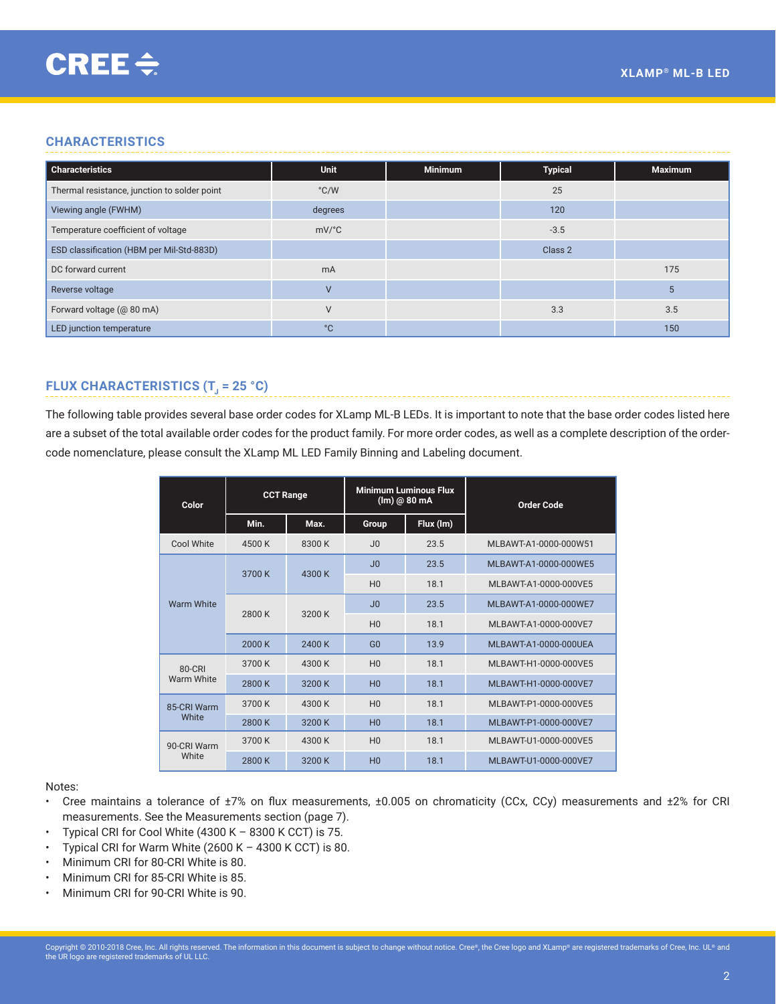# <span id="page-1-0"></span>**CHARACTERISTICS**

| <b>Characteristics</b>                       | <b>Unit</b>                          | <b>Minimum</b> | <b>Typical</b> | <b>Maximum</b> |
|----------------------------------------------|--------------------------------------|----------------|----------------|----------------|
| Thermal resistance, junction to solder point | °C/W                                 |                | 25             |                |
| Viewing angle (FWHM)                         | degrees                              |                | 120            |                |
| Temperature coefficient of voltage           | $mV$ <sup><math>\circ</math></sup> C |                | $-3.5$         |                |
| ESD classification (HBM per Mil-Std-883D)    |                                      |                | Class 2        |                |
| DC forward current                           | m <sub>A</sub>                       |                |                | 175            |
| Reverse voltage                              | $\overline{V}$                       |                |                | 5              |
| Forward voltage (@ 80 mA)                    | $\vee$                               |                | 3.3            | 3.5            |
| LED junction temperature                     | °С                                   |                |                | 150            |

# **FLUX CHARACTERISTICS (T<sub>1</sub> = 25 °C)**

The following table provides several base order codes for XLamp ML-B LEDs. It is important to note that the base order codes listed here are a subset of the total available order codes for the product family. For more order codes, as well as a complete description of the ordercode nomenclature, please consult the XLamp ML LED Family Binning and Labeling document.

| Color             | <b>CCT Range</b> |        | <b>Minimum Luminous Flux</b><br>$(lm)$ @ 80 mA |           | <b>Order Code</b>     |  |
|-------------------|------------------|--------|------------------------------------------------|-----------|-----------------------|--|
|                   | Min.             | Max.   | Group                                          | Flux (Im) |                       |  |
| Cool White        | 4500 K           | 8300 K | J <sub>0</sub>                                 | 23.5      | MLBAWT-A1-0000-000W51 |  |
| <b>Warm White</b> | 3700 K           | 4300 K | J <sub>0</sub>                                 | 23.5      | MLBAWT-A1-0000-000WE5 |  |
|                   |                  |        | H <sub>0</sub>                                 | 18.1      | MLBAWT-A1-0000-000VE5 |  |
|                   | 2800 K           | 3200 K | J <sub>0</sub>                                 | 23.5      | MLBAWT-A1-0000-000WE7 |  |
|                   |                  |        | H <sub>0</sub>                                 | 18.1      | MLBAWT-A1-0000-000VE7 |  |
|                   | 2000 K           | 2400 K | G <sub>0</sub>                                 | 13.9      | MLBAWT-A1-0000-000UEA |  |
| $80-CRI$          | 3700 K           | 4300 K | H <sub>0</sub>                                 | 18.1      | MLBAWT-H1-0000-000VE5 |  |
| Warm White        | 2800 K           | 3200 K | H <sub>0</sub>                                 | 18.1      | MLBAWT-H1-0000-000VE7 |  |
| 85-CRI Warm       | 3700 K           | 4300 K | H <sub>0</sub>                                 | 181       | MLBAWT-P1-0000-000VE5 |  |
| White             | 2800 K           | 3200 K | H <sub>0</sub>                                 | 18.1      | MLBAWT-P1-0000-000VE7 |  |
| 90-CRI Warm       | 3700 K           | 4300 K | H <sub>0</sub>                                 | 18.1      | MLBAWT-U1-0000-000VE5 |  |
| White             | 2800 K           | 3200 K | H <sub>0</sub>                                 | 18.1      | MLBAWT-U1-0000-000VE7 |  |

### Notes:

- Cree maintains a tolerance of ±7% on flux measurements, ±0.005 on chromaticity (CCx, CCy) measurements and ±2% for CRI measurements. See the Measurements section [\(page 7](#page-6-1)).
- Typical CRI for Cool White  $(4300 K 8300 K CCT)$  is 75.
- Typical CRI for Warm White  $(2600 K 4300 K CCT)$  is 80.
- Minimum CRI for 80-CRI White is 80.
- Minimum CRI for 85-CRI White is 85.
- Minimum CRI for 90-CRI White is 90.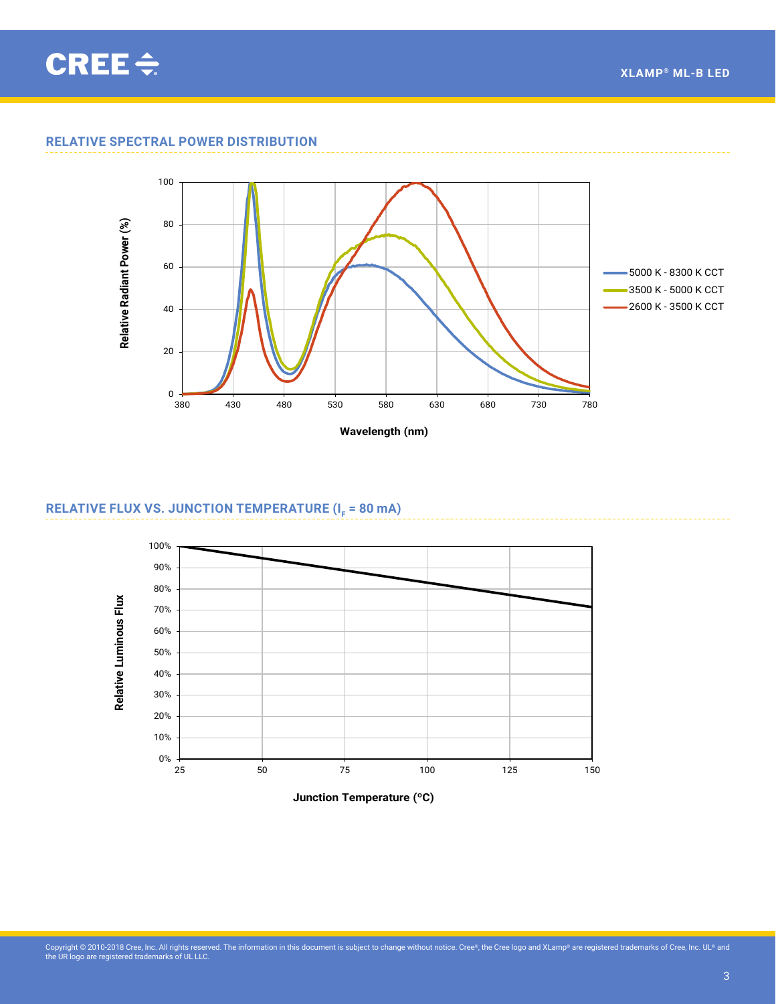# **RELATIVE SPECTRAL POWER DISTRIBUTION**



<span id="page-2-0"></span>**Relative Spectral Power** ML-B OK

# **RELATIVE FLUX VS. JUNCTION TEMPERATURE (I<sub>F</sub> = 80 mA)**



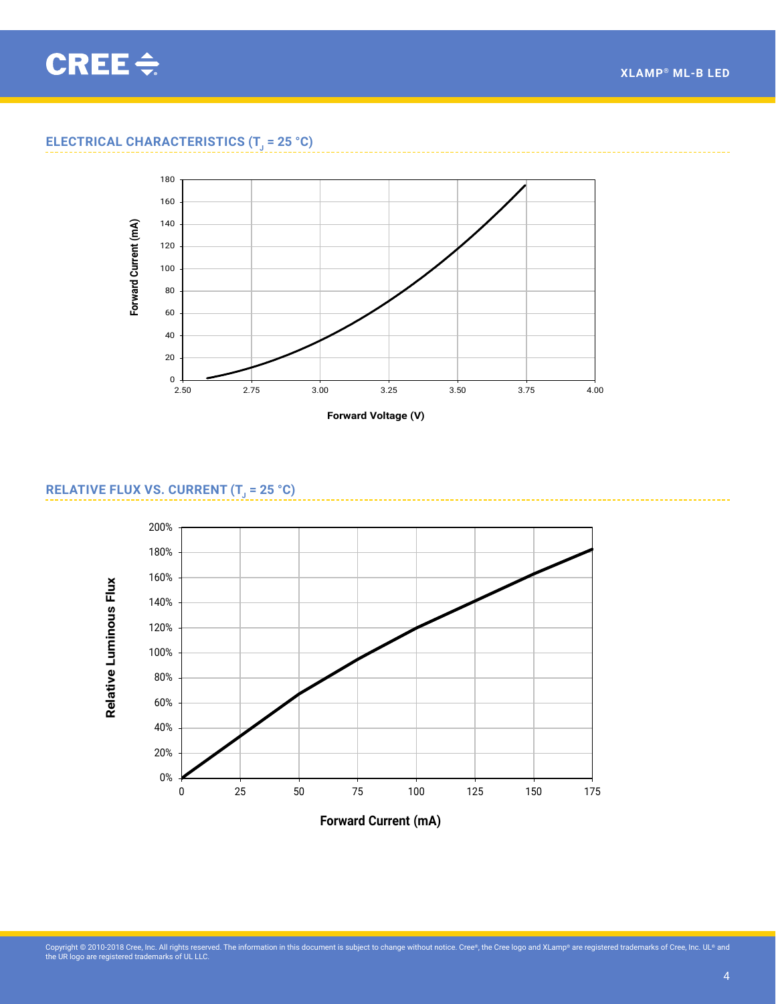<span id="page-3-0"></span>CREE $\div$ 

# **ELECTRICAL CHARACTERISTICS (T<sub>1</sub> = 25 °C)**



# **RELATIVE FLUX VS. CURRENT (T<sub>J</sub> = 25 °C)**

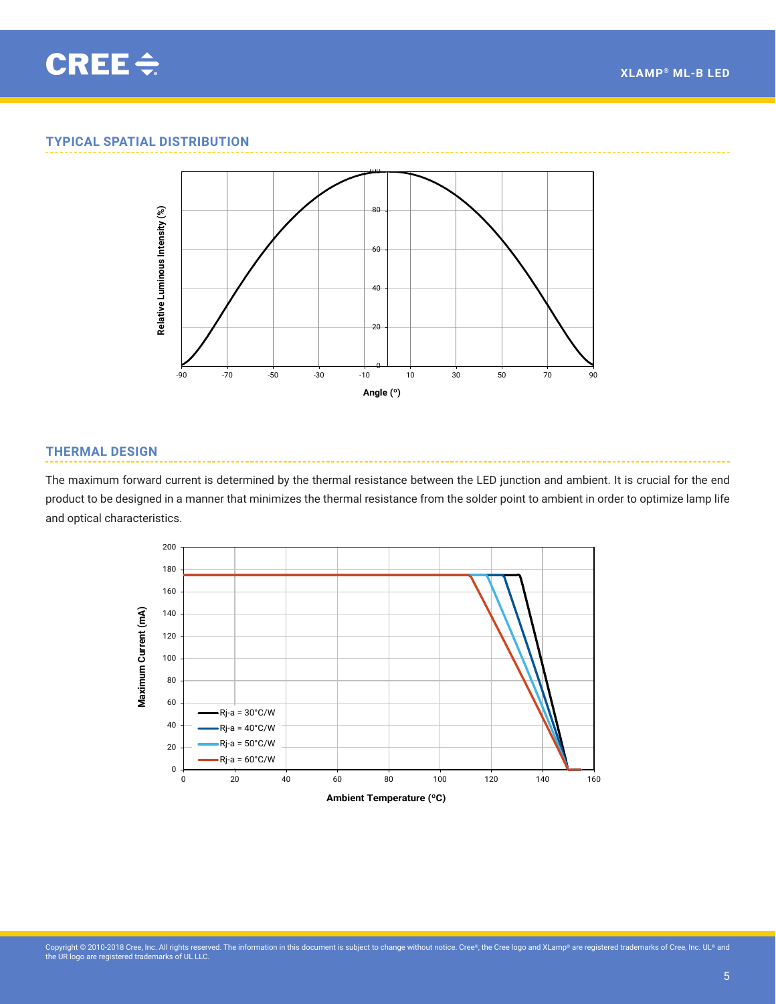<span id="page-4-0"></span>

# **TYPICAL SPATIAL DISTRIBUTION**

**Typical Spatial Radiation Pattern**



## **THERMAL DESIGN**

The maximum forward current is determined by the thermal resistance between the LED junction and ambient. It is crucial for the end product to be designed in a manner that minimizes the thermal resistance from the solder point to ambient in order to optimize lamp life **Thermal Design** and optical characteristics.

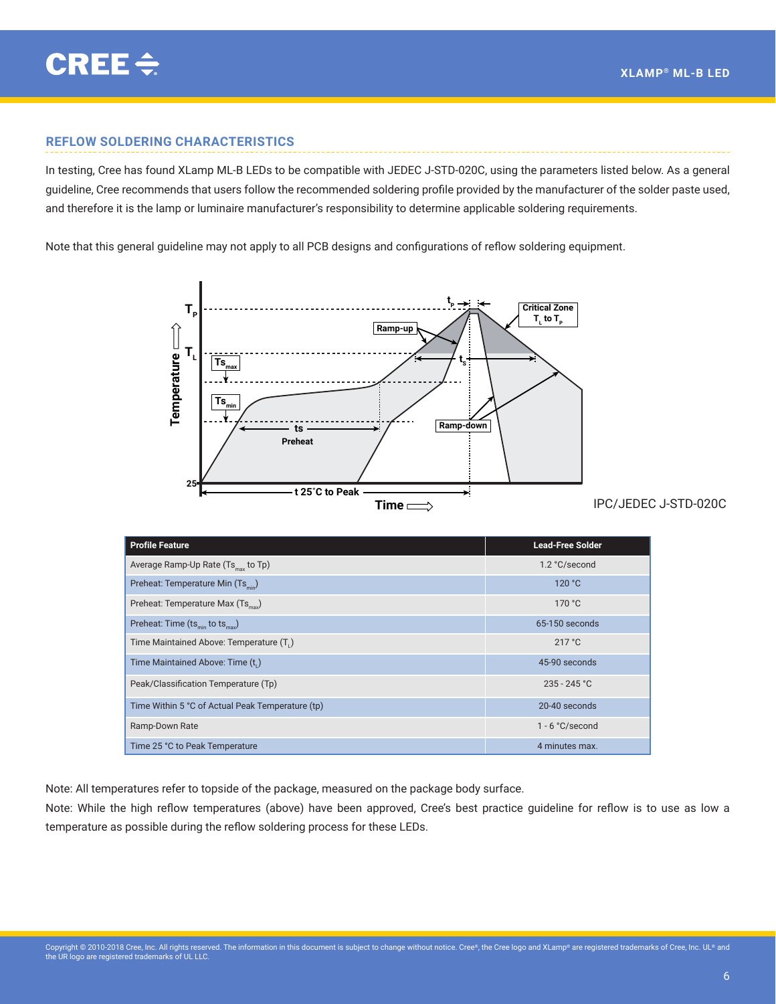# <span id="page-5-0"></span>**REFLOW SOLDERING CHARACTERISTICS**

In testing, Cree has found XLamp ML-B LEDs to be compatible with JEDEC J-STD-020C, using the parameters listed below. As a general guideline, Cree recommends that users follow the recommended soldering profile provided by the manufacturer of the solder paste used, and therefore it is the lamp or luminaire manufacturer's responsibility to determine applicable soldering requirements.

Note that this general guideline may not apply to all PCB designs and configurations of reflow soldering equipment.



| <b>Profile Feature</b>                           | <b>Lead-Free Solder</b> |
|--------------------------------------------------|-------------------------|
| Average Ramp-Up Rate (Ts <sub>max</sub> to Tp)   | 1.2 °C/second           |
| Preheat: Temperature Min (Ts)                    | 120 °C                  |
| Preheat: Temperature Max (Ts <sub>nov</sub> )    | 170 °C                  |
| Preheat: Time $(ts_{min}$ to $ts_{max}$ )        | 65-150 seconds          |
| Time Maintained Above: Temperature (T.)          | 217 °C                  |
| Time Maintained Above: Time (t,)                 | 45-90 seconds           |
| Peak/Classification Temperature (Tp)             | $235 - 245$ °C          |
| Time Within 5 °C of Actual Peak Temperature (tp) | 20-40 seconds           |
| Ramp-Down Rate                                   | $1 - 6 °C$ /second      |
| Time 25 °C to Peak Temperature                   | 4 minutes max.          |

Note: All temperatures refer to topside of the package, measured on the package body surface.

Note: While the high reflow temperatures (above) have been approved, Cree's best practice guideline for reflow is to use as low a temperature as possible during the reflow soldering process for these LEDs.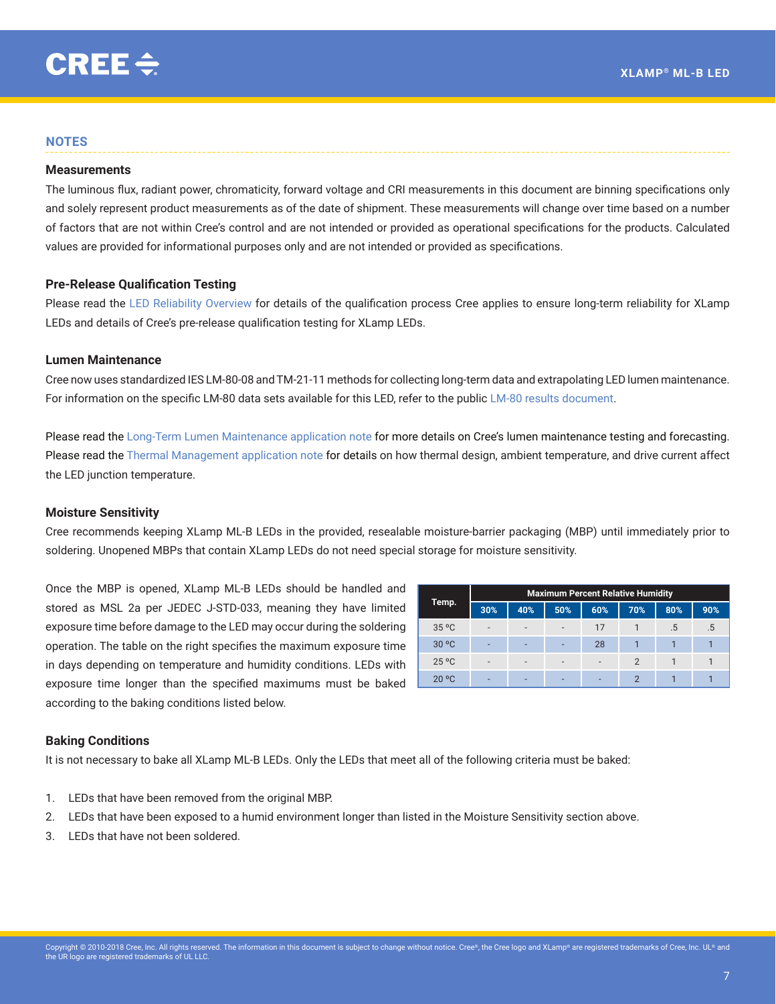## <span id="page-6-0"></span>**NOTES**

#### <span id="page-6-1"></span>**Measurements**

The luminous flux, radiant power, chromaticity, forward voltage and CRI measurements in this document are binning specifications only and solely represent product measurements as of the date of shipment. These measurements will change over time based on a number of factors that are not within Cree's control and are not intended or provided as operational specifications for the products. Calculated values are provided for informational purposes only and are not intended or provided as specifications.

## **Pre‑Release Qualification Testing**

Please read the [LED Reliability Overview](http://www.cree.com/led-components/media/documents/XLamp_Reliability.Rev2.pdf) for details of the qualification process Cree applies to ensure long-term reliability for XLamp LEDs and details of Cree's pre-release qualification testing for XLamp LEDs.

## **Lumen Maintenance**

Cree now uses standardized IES LM-80-08 and TM-21-11 methods for collecting long-term data and extrapolating LED lumen maintenance. For information on the specific LM-80 data sets available for this LED, refer to the public [LM-80 results document](http://www.cree.com/led-components/media/documents/LM80_Results.pdf).

Please read the [Long-Term Lumen Maintenance application note](http://www.cree.com/led-components/media/documents/XLamp_lumen_maintenance.pdf) for more details on Cree's lumen maintenance testing and forecasting. Please read the [Thermal Management application note](http://www.cree.com/led-components/media/documents/XLampThermalManagement.pdf) for details on how thermal design, ambient temperature, and drive current affect the LED junction temperature.

#### **Moisture Sensitivity**

Cree recommends keeping XLamp ML-B LEDs in the provided, resealable moisture-barrier packaging (MBP) until immediately prior to soldering. Unopened MBPs that contain XLamp LEDs do not need special storage for moisture sensitivity.

Once the MBP is opened, XLamp ML-B LEDs should be handled and stored as MSL 2a per JEDEC J-STD-033, meaning they have limited exposure time before damage to the LED may occur during the soldering operation. The table on the right specifies the maximum exposure time in days depending on temperature and humidity conditions. LEDs with exposure time longer than the specified maximums must be baked according to the baking conditions listed below.

| Temp.          | <b>Maximum Percent Relative Humidity</b> |                          |                          |     |               |     |     |
|----------------|------------------------------------------|--------------------------|--------------------------|-----|---------------|-----|-----|
|                | 30%                                      | 40%                      | 50%                      | 60% | 70%           | 80% | 90% |
| 35 °C          | -                                        | $\overline{\phantom{0}}$ | $\overline{a}$           | 17  |               | .5  | .5  |
| 30 °C          | ۰                                        | -                        | ٠                        | 28  |               |     |     |
| $25^{\circ}$ C | -                                        |                          | $\overline{\phantom{a}}$ | ۰   | 2             |     |     |
| 20 °C          | -                                        | -                        | $\overline{\phantom{a}}$ | -   | $\mathcal{P}$ |     |     |

#### **Baking Conditions**

It is not necessary to bake all XLamp ML-B LEDs. Only the LEDs that meet all of the following criteria must be baked:

- 1. LEDs that have been removed from the original MBP.
- 2. LEDs that have been exposed to a humid environment longer than listed in the Moisture Sensitivity section above.
- 3. LEDs that have not been soldered.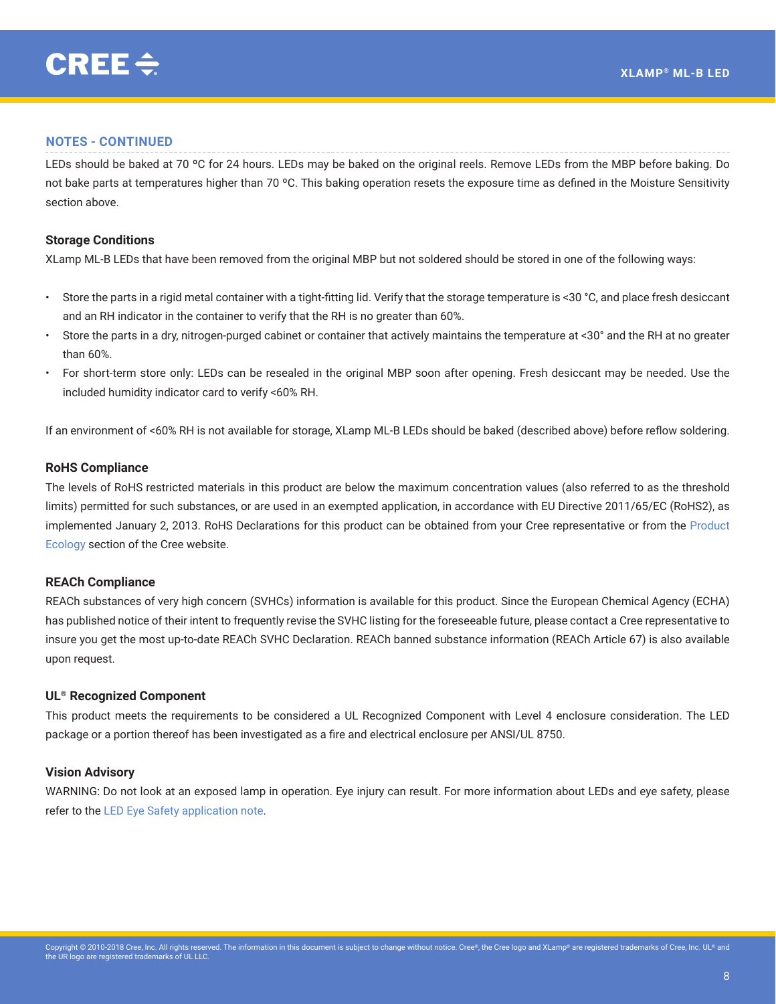## **NOTES - CONTINUED**

LEDs should be baked at 70 °C for 24 hours. LEDs may be baked on the original reels. Remove LEDs from the MBP before baking. Do not bake parts at temperatures higher than 70 °C. This baking operation resets the exposure time as defined in the Moisture Sensitivity section above.

## **Storage Conditions**

XLamp ML-B LEDs that have been removed from the original MBP but not soldered should be stored in one of the following ways:

- Store the parts in a rigid metal container with a tight-fitting lid. Verify that the storage temperature is <30 °C, and place fresh desiccant and an RH indicator in the container to verify that the RH is no greater than 60%.
- Store the parts in a dry, nitrogen-purged cabinet or container that actively maintains the temperature at <30° and the RH at no greater than 60%.
- For short-term store only: LEDs can be resealed in the original MBP soon after opening. Fresh desiccant may be needed. Use the included humidity indicator card to verify <60% RH.

If an environment of <60% RH is not available for storage, XLamp ML-B LEDs should be baked (described above) before reflow soldering.

## **RoHS Compliance**

The levels of RoHS restricted materials in this product are below the maximum concentration values (also referred to as the threshold limits) permitted for such substances, or are used in an exempted application, in accordance with EU Directive 2011/65/EC (RoHS2), as implemented January 2, 2013. RoHS Declarations for this product can be obtained from your Cree representative or from the [Product](http://www.cree.com/led-components/support/product-ecology/)  [Ecology](http://www.cree.com/led-components/support/product-ecology/) section of the Cree website.

#### **REACh Compliance**

REACh substances of very high concern (SVHCs) information is available for this product. Since the European Chemical Agency (ECHA) has published notice of their intent to frequently revise the SVHC listing for the foreseeable future, please contact a Cree representative to insure you get the most up-to-date REACh SVHC Declaration. REACh banned substance information (REACh Article 67) is also available upon request.

## **UL® Recognized Component**

This product meets the requirements to be considered a UL Recognized Component with Level 4 enclosure consideration. The LED package or a portion thereof has been investigated as a fire and electrical enclosure per ANSI/UL 8750.

# **Vision Advisory**

WARNING: Do not look at an exposed lamp in operation. Eye injury can result. For more information about LEDs and eye safety, please refer to the [LED Eye Safety application note.](http://www.cree.com/led-components/media/documents/XLamp_EyeSafety-19.pdf)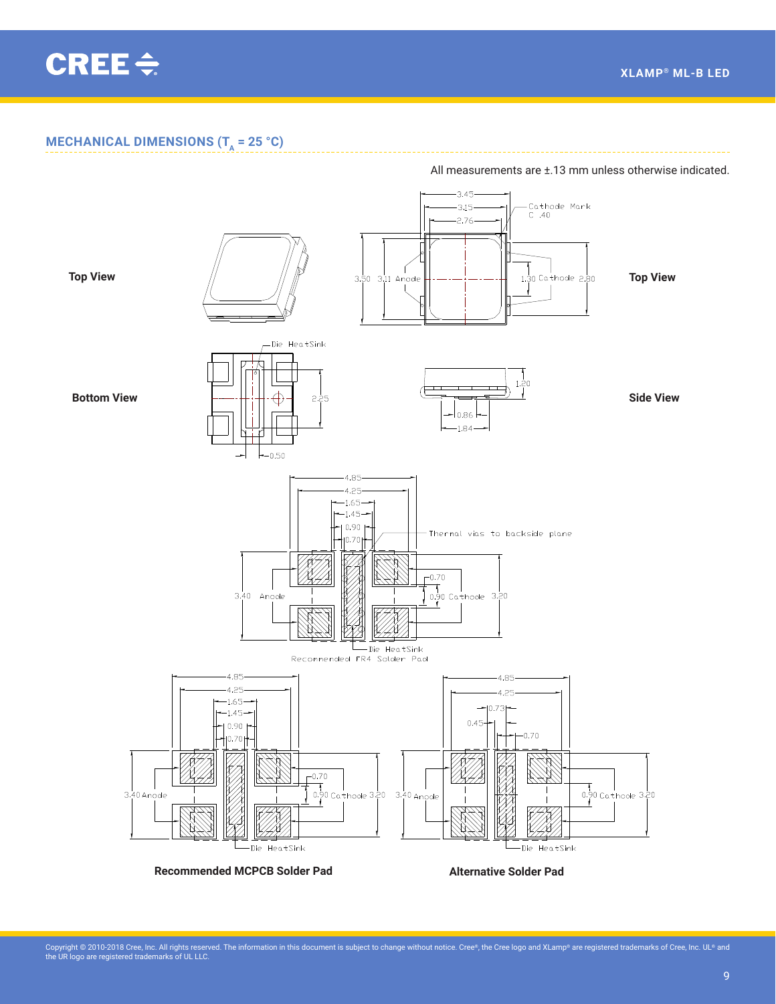<span id="page-8-0"></span>CREE $\div$ 

# **MECHANICAL DIMENSIONS (T<sub>a</sub>** = 25 °C)



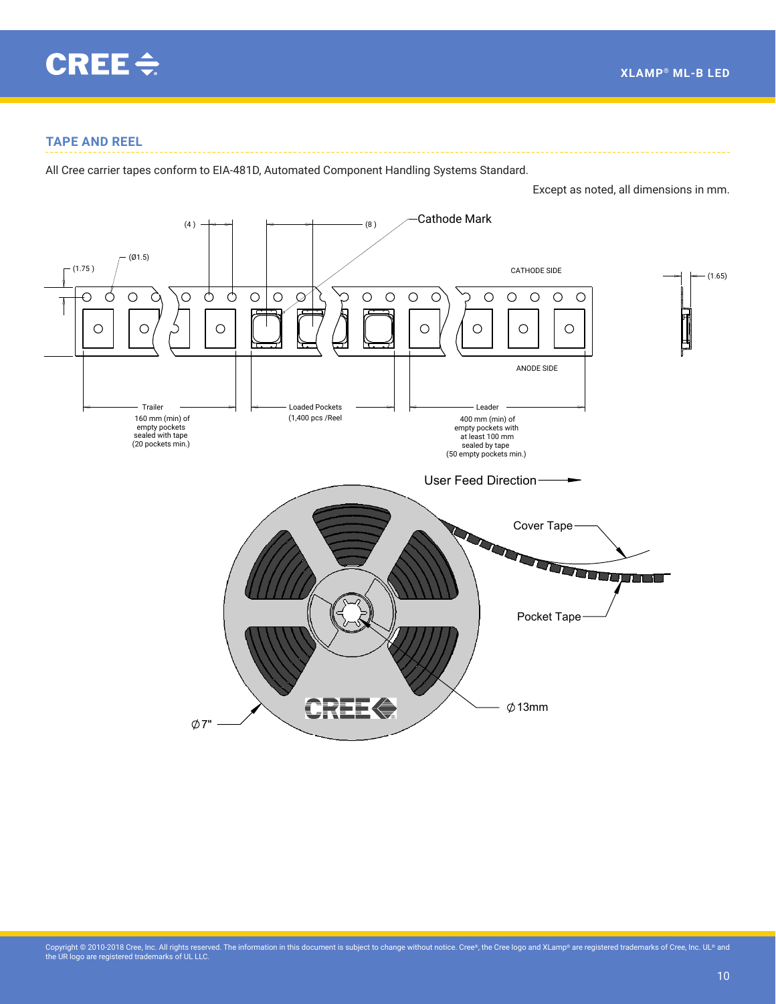

<span id="page-9-0"></span>CONTAINED WITHIN ARE THE PROPRIETARY AND

1.75±.10

# **TAPE AND REEL**

All Cree carrier tapes conform to EIA-481D, Automated Component Handling Systems Standard.

Except as noted, all dimensions in mm.

2.5±.1